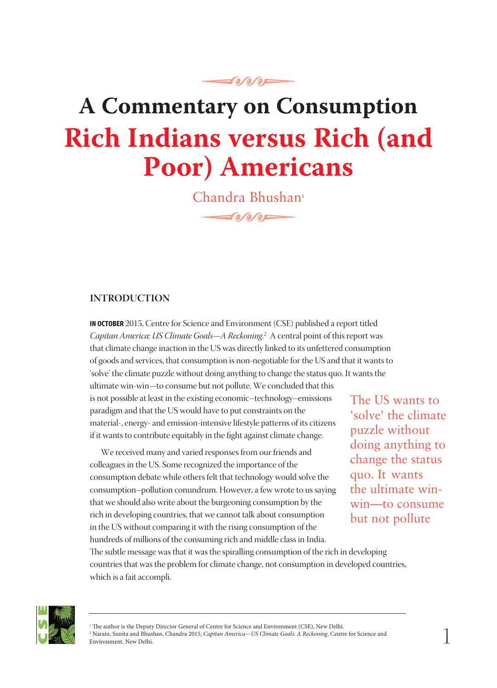# **A Commentary on Consumption Rich Indians versus Rich (and Poor) Americans**

**O/O/OF** 

Chandra Bhushan<sup>1</sup>  $f_0$  and  $f_0$  and  $f_1$ 

#### **INTRODUCTION**

**IN OCTOBER** 2015, Centre for Science and Environment (CSE) published a report titled *Capitan America: US Climate Goals—A Reckoning*. 2 A central point of this report was that climate change inaction in the US was directly linked to its unfettered consumption of goods and services, that consumption is non-negotiable for the US and that it wants to 'solve' the climate puzzle without doing anything to change the status quo. It wants the

ultimate win-win—to consume but not pollute. We concluded that this is not possible at least in the existing economic–technology–emissions paradigm and that the US would have to put constraints on the material-, energy- and emission-intensive lifestyle patterns of its citizens if it wants to contribute equitably in the fight against climate change.

We received many and varied responses from our friends and colleagues in the US. Some recognized the importance of the consumption debate while others felt that technology would solve the consumption–pollution conundrum. However, a few wrote to us saying that we should also write about the burgeoning consumption by the rich in developing countries, that we cannot talk about consumption in the US without comparing it with the rising consumption of the hundreds of millions of the consuming rich and middle class in India.

The US wants to 'solve' the climate puzzle without doing anything to change the status quo. It wants the ultimate winwin—to consume but not pollute

The subtle message was that it was the spiralling consumption of the rich in developing countries that was the problem for climate change, not consumption in developed countries, which is a fait accompli.



<sup>&</sup>lt;sup>1</sup> The author is the Deputy Director General of Centre for Science and Environment (CSE), New Delhi. 2 Narain, Sunita and Bhushan, Chandra 2015, *Capitan America—US Climate Goals: A Reckoning*, Centre for Science and Environment, New Delhi.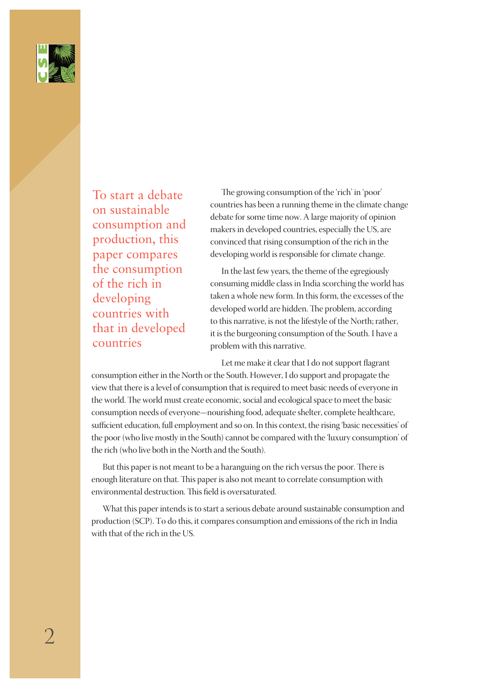

To start a debate on sustainable consumption and production, this paper compares the consumption of the rich in developing countries with that in developed countries

The growing consumption of the 'rich' in 'poor' countries has been a running theme in the climate change debate for some time now. A large majority of opinion makers in developed countries, especially the US, are convinced that rising consumption of the rich in the developing world is responsible for climate change.

In the last few years, the theme of the egregiously consuming middle class in India scorching the world has taken a whole new form. In this form, the excesses of the developed world are hidden. The problem, according to this narrative, is not the lifestyle of the North; rather, it is the burgeoning consumption of the South. I have a problem with this narrative.

Let me make it clear that I do not support flagrant

consumption either in the North or the South. However, I do support and propagate the view that there is a level of consumption that is required to meet basic needs of everyone in the world. The world must create economic, social and ecological space to meet the basic consumption needs of everyone—nourishing food, adequate shelter, complete healthcare, sufficient education, full employment and so on. In this context, the rising 'basic necessities' of the poor (who live mostly in the South) cannot be compared with the 'luxury consumption' of the rich (who live both in the North and the South).

But this paper is not meant to be a haranguing on the rich versus the poor. There is enough literature on that. This paper is also not meant to correlate consumption with environmental destruction. This field is oversaturated.

What this paper intends is to start a serious debate around sustainable consumption and production (SCP). To do this, it compares consumption and emissions of the rich in India with that of the rich in the US.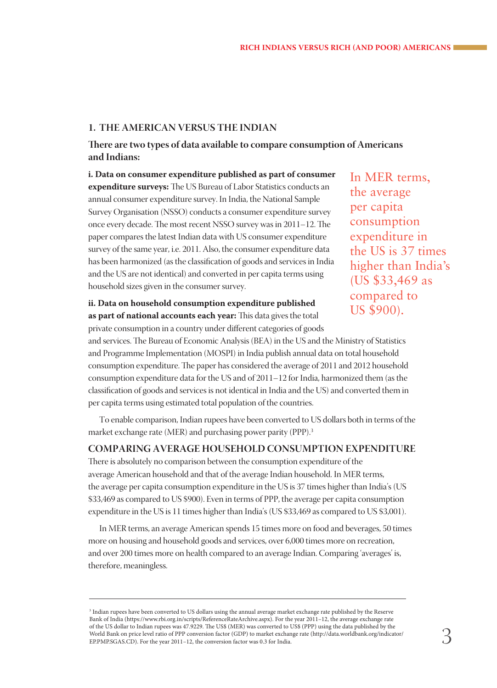#### **1. THE AMERICAN VERSUS THE INDIAN**

**There are two types of data available to compare consumption of Americans and Indians:**

**i. Data on consumer expenditure published as part of consumer expenditure surveys:** The US Bureau of Labor Statistics conducts an annual consumer expenditure survey. In India, the National Sample Survey Organisation (NSSO) conducts a consumer expenditure survey once every decade. The most recent NSSO survey was in 2011–12. The paper compares the latest Indian data with US consumer expenditure survey of the same year, i.e. 2011. Also, the consumer expenditure data has been harmonized (as the classification of goods and services in India and the US are not identical) and converted in per capita terms using household sizes given in the consumer survey.

**ii. Data on household consumption expenditure published as part of national accounts each year:** This data gives the total

In MER terms, the average per capita consumption expenditure in the US is 37 times higher than India's (US \$33,469 as compared to US \$900).

private consumption in a country under different categories of goods and services. The Bureau of Economic Analysis (BEA) in the US and the Ministry of Statistics and Programme Implementation (MOSPI) in India publish annual data on total household consumption expenditure. The paper has considered the average of 2011 and 2012 household consumption expenditure data for the US and of 2011–12 for India, harmonized them (as the classification of goods and services is not identical in India and the US) and converted them in per capita terms using estimated total population of the countries.

To enable comparison, Indian rupees have been converted to US dollars both in terms of the market exchange rate (MER) and purchasing power parity (PPP).3

#### **COMPARING AVERAGE HOUSEHOLD CONSUMPTION EXPENDITURE**

There is absolutely no comparison between the consumption expenditure of the average American household and that of the average Indian household. In MER terms, the average per capita consumption expenditure in the US is 37 times higher than India's (US \$33,469 as compared to US \$900). Even in terms of PPP, the average per capita consumption expenditure in the US is 11 times higher than India's (US \$33,469 as compared to US \$3,001).

In MER terms, an average American spends 15 times more on food and beverages, 50 times more on housing and household goods and services, over 6,000 times more on recreation, and over 200 times more on health compared to an average Indian. Comparing 'averages' is, therefore, meaningless.

<sup>3</sup> Indian rupees have been converted to US dollars using the annual average market exchange rate published by the Reserve Bank of India (https://www.rbi.org.in/scripts/ReferenceRateArchive.aspx). For the year 2011–12, the average exchange rate of the US dollar to Indian rupees was 47.9229. The US\$ (MER) was converted to US\$ (PPP) using the data published by the World Bank on price level ratio of PPP conversion factor (GDP) to market exchange rate (http://data.worldbank.org/indicator/ EP.PMP.SGAS.CD). For the year 2011–12, the conversion factor was 0.3 for India.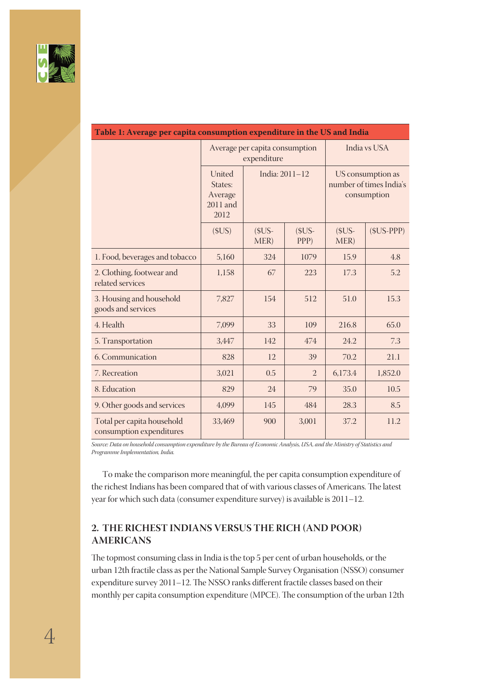

| Table 1. Average per capita consumption expenditure in the $\sigma_3$ and findia |                                                  |                |                |                                                             |             |
|----------------------------------------------------------------------------------|--------------------------------------------------|----------------|----------------|-------------------------------------------------------------|-------------|
|                                                                                  | Average per capita consumption<br>expenditure    |                |                | India vs USA                                                |             |
|                                                                                  | United<br>States:<br>Average<br>2011 and<br>2012 | India: 2011-12 |                | US consumption as<br>number of times India's<br>consumption |             |
|                                                                                  | (SUS)                                            | $$US-$<br>MER) | $$US-$<br>PPP) | $$US-$<br>MER)                                              | $(SUS-PPP)$ |
| 1. Food, beverages and tobacco                                                   | 5,160                                            | 324            | 1079           | 15.9                                                        | 4.8         |
| 2. Clothing, footwear and<br>related services                                    | 1,158                                            | 67             | 223            | 17.3                                                        | 5.2         |
| 3. Housing and household<br>goods and services                                   | 7,827                                            | 154            | 512            | 51.0                                                        | 15.3        |
| 4. Health                                                                        | 7,099                                            | 33             | 109            | 216.8                                                       | 65.0        |
| 5. Transportation                                                                | 3,447                                            | 142            | 474            | 24.2                                                        | 7.3         |
| 6. Communication                                                                 | 828                                              | 12             | 39             | 70.2                                                        | 21.1        |
| 7. Recreation                                                                    | 3,021                                            | 0.5            | $\overline{2}$ | 6,173.4                                                     | 1,852.0     |
| 8. Education                                                                     | 829                                              | 24             | 79             | 35.0                                                        | 10.5        |
| 9. Other goods and services                                                      | 4,099                                            | 145            | 484            | 28.3                                                        | 8.5         |
| Total per capita household<br>consumption expenditures                           | 33,469                                           | 900            | 3,001          | 37.2                                                        | 11.2        |

#### **Table 1: Average per capita consumption expenditure in the US and India**

*Source: Data on household consumption expenditure by the Bureau of Economic Analysis, USA, and the Ministry of Statistics and Programme Implementation, India.*

To make the comparison more meaningful, the per capita consumption expenditure of the richest Indians has been compared that of with various classes of Americans. The latest year for which such data (consumer expenditure survey) is available is 2011–12.

#### **2. THE RICHEST INDIANS VERSUS THE RICH (AND POOR) AMERICANS**

The topmost consuming class in India is the top 5 per cent of urban households, or the urban 12th fractile class as per the National Sample Survey Organisation (NSSO) consumer expenditure survey 2011–12. The NSSO ranks different fractile classes based on their monthly per capita consumption expenditure (MPCE). The consumption of the urban 12th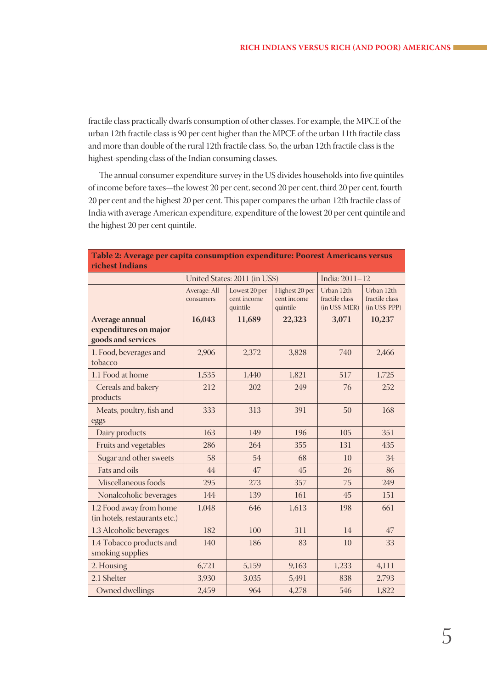fractile class practically dwarfs consumption of other classes. For example, the MPCE of the urban 12th fractile class is 90 per cent higher than the MPCE of the urban 11th fractile class and more than double of the rural 12th fractile class. So, the urban 12th fractile class is the highest-spending class of the Indian consuming classes.

The annual consumer expenditure survey in the US divides households into five quintiles of income before taxes—the lowest 20 per cent, second 20 per cent, third 20 per cent, fourth 20 per cent and the highest 20 per cent. This paper compares the urban 12th fractile class of India with average American expenditure, expenditure of the lowest 20 per cent quintile and the highest 20 per cent quintile.

| richest Indians                                               |                           |                                          |                                           |                                               |                                               |
|---------------------------------------------------------------|---------------------------|------------------------------------------|-------------------------------------------|-----------------------------------------------|-----------------------------------------------|
|                                                               |                           | United States: 2011 (in US\$)            |                                           | India: 2011-12                                |                                               |
|                                                               | Average: All<br>consumers | Lowest 20 per<br>cent income<br>quintile | Highest 20 per<br>cent income<br>quintile | Urban 12th<br>fractile class<br>(in US\$-MER) | Urban 12th<br>fractile class<br>(in US\$-PPP) |
| Average annual<br>expenditures on major<br>goods and services | 16,043                    | 11,689                                   | 22,323                                    | 3,071                                         | 10,237                                        |
| 1. Food, beverages and<br>tobacco                             | 2,906                     | 2,372                                    | 3,828                                     | 740                                           | 2,466                                         |
| 1.1 Food at home                                              | 1,535                     | 1,440                                    | 1,821                                     | 517                                           | 1,725                                         |
| Cereals and bakery<br>products                                | 212                       | 202                                      | 249                                       | 76                                            | 252                                           |
| Meats, poultry, fish and<br>eggs                              | 333                       | 313                                      | 391                                       | 50                                            | 168                                           |
| Dairy products                                                | 163                       | 149                                      | 196                                       | 105                                           | 351                                           |
| Fruits and vegetables                                         | 286                       | 264                                      | 355                                       | 131                                           | 435                                           |
| Sugar and other sweets                                        | 58                        | 54                                       | 68                                        | 10                                            | 34                                            |
| Fats and oils                                                 | 44                        | 47                                       | 45                                        | 26                                            | 86                                            |
| Miscellaneous foods                                           | 295                       | 273                                      | 357                                       | 75                                            | 249                                           |
| Nonalcoholic beverages                                        | 144                       | 139                                      | 161                                       | 45                                            | 151                                           |
| 1.2 Food away from home<br>(in hotels, restaurants etc.)      | 1,048                     | 646                                      | 1,613                                     | 198                                           | 661                                           |
| 1.3 Alcoholic beverages                                       | 182                       | 100                                      | 311                                       | 14                                            | 47                                            |
| 1.4 Tobacco products and<br>smoking supplies                  | 140                       | 186                                      | 83                                        | 10                                            | 33                                            |
| 2. Housing                                                    | 6,721                     | 5,159                                    | 9,163                                     | 1,233                                         | 4,111                                         |
| 2.1 Shelter                                                   | 3,930                     | 3,035                                    | 5,491                                     | 838                                           | 2,793                                         |
| Owned dwellings                                               | 2,459                     | 964                                      | 4,278                                     | 546                                           | 1,822                                         |

# **Table 2: Average per capita consumption expenditure: Poorest Americans versus**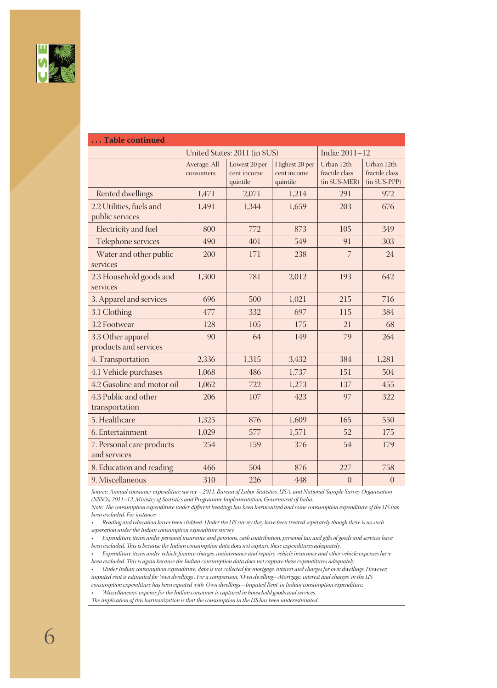

| Table continued                             |                           |                                          |                                           |                                               |                                               |
|---------------------------------------------|---------------------------|------------------------------------------|-------------------------------------------|-----------------------------------------------|-----------------------------------------------|
|                                             |                           | United States: 2011 (in \$US)            |                                           | India: 2011-12                                |                                               |
|                                             | Average: All<br>consumers | Lowest 20 per<br>cent income<br>quintile | Highest 20 per<br>cent income<br>quintile | Urban 12th<br>fractile class<br>(in \$US-MER) | Urban 12th<br>fractile class<br>(in \$US-PPP) |
| <b>Rented dwellings</b>                     | 1,471                     | 2,071                                    | 1,214                                     | 291                                           | 972                                           |
| 2.2 Utilities, fuels and<br>public services | 1,491                     | 1,344                                    | 1,659                                     | 203                                           | 676                                           |
| Electricity and fuel                        | 800                       | 772                                      | 873                                       | 105                                           | 349                                           |
| Telephone services                          | 490                       | 401                                      | 549                                       | 91                                            | 303                                           |
| Water and other public<br>services          | 200                       | 171                                      | 238                                       | 7                                             | 24                                            |
| 2.3 Household goods and<br>services         | 1,300                     | 781                                      | 2,012                                     | 193                                           | 642                                           |
| 3. Apparel and services                     | 696                       | 500                                      | 1,021                                     | 215                                           | 716                                           |
| 3.1 Clothing                                | 477                       | 332                                      | 697                                       | 115                                           | 384                                           |
| 3.2 Footwear                                | 128                       | 105                                      | 175                                       | 21                                            | 68                                            |
| 3.3 Other apparel<br>products and services  | 90                        | 64                                       | 149                                       | 79                                            | 264                                           |
| 4. Transportation                           | 2,336                     | 1,315                                    | 3,432                                     | 384                                           | 1,281                                         |
| 4.1 Vehicle purchases                       | 1,068                     | 486                                      | 1,737                                     | 151                                           | 504                                           |
| 4.2 Gasoline and motor oil                  | 1,062                     | 722                                      | 1,273                                     | 137                                           | 455                                           |
| 4.3 Public and other<br>transportation      | 206                       | 107                                      | 423                                       | 97                                            | 322                                           |
| 5. Healthcare                               | 1,325                     | 876                                      | 1,609                                     | 165                                           | 550                                           |
| 6. Entertainment                            | 1,029                     | 577                                      | 1,571                                     | 52                                            | 175                                           |
| 7. Personal care products<br>and services   | 254                       | 159                                      | 376                                       | 54                                            | 179                                           |
| 8. Education and reading                    | 466                       | 504                                      | 876                                       | 227                                           | 758                                           |
| 9. Miscellaneous                            | 310                       | 226                                      | 448                                       | $\overline{0}$                                | $\overline{0}$                                |

*Source: Annual consumer expenditure survey – 2011, Bureau of Labor Statistics, USA, and National Sample Survey Organisation (NSSO), 2011–12, Ministry of Statistics and Programme Implementation, Government of India.*

*Note: The consumption expenditure under different headings has been harmonized and some consumption expenditure of the US has been excluded. For instance:*

*• Reading and education haves been clubbed. Under the US survey they have been treated separately though there is no such separation under the Indian consumption expenditure survey.*

*• Expenditure items under personal insurance and pensions, cash contribution, personal tax and gifts of goods and services have been excluded. This is because the Indian consumption data does not capture these expenditures adequately.*

*• Expenditure items under vehicle finance charges, maintenance and repairs, vehicle insurance and other vehicle expenses have been excluded. This is again because the Indian consumption data does not capture these expenditures adequately.*

*• Under Indian consumption expenditure, data is not collected for mortgage, interest and charges for own dwellings. However, imputed rent is estimated for 'own dwellings'. For a comparison, 'Own dwelling—Mortgage, interest and charges' in the US consumption expenditure has been equated with 'Own dwellings—Imputed Rent' in Indian consumption expenditure.*

*• 'Miscellaneous' expense for the Indian consumer is captured in household goods and services.*

*The implication of this harmonization is that the consumption in the US has been underestimated.*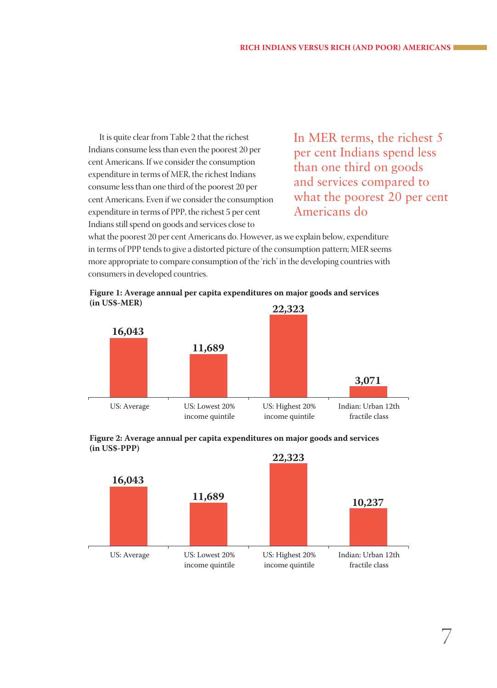It is quite clear from Table 2 that the richest Indians consume less than even the poorest 20 per cent Americans. If we consider the consumption expenditure in terms of MER, the richest Indians consume less than one third of the poorest 20 per cent Americans. Even if we consider the consumption expenditure in terms of PPP, the richest 5 per cent Indians still spend on goods and services close to

In MER terms, the richest 5 per cent Indians spend less than one third on goods and services compared to what the poorest 20 per cent Americans do

what the poorest 20 per cent Americans do. However, as we explain below, expenditure in terms of PPP tends to give a distorted picture of the consumption pattern; MER seems more appropriate to compare consumption of the 'rich' in the developing countries with consumers in developed countries.







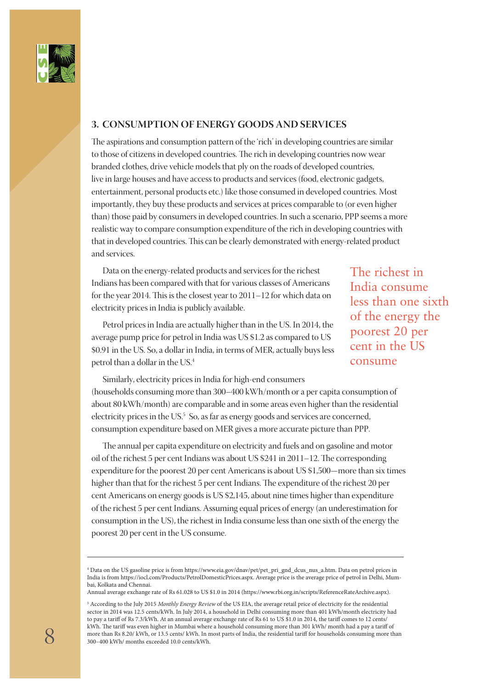

#### **3. CONSUMPTION OF ENERGY GOODS AND SERVICES**

The aspirations and consumption pattern of the 'rich' in developing countries are similar to those of citizens in developed countries. The rich in developing countries now wear branded clothes, drive vehicle models that ply on the roads of developed countries, live in large houses and have access to products and services (food, electronic gadgets, entertainment, personal products etc.) like those consumed in developed countries. Most importantly, they buy these products and services at prices comparable to (or even higher than) those paid by consumers in developed countries. In such a scenario, PPP seems a more realistic way to compare consumption expenditure of the rich in developing countries with that in developed countries. This can be clearly demonstrated with energy-related product and services.

Data on the energy-related products and services for the richest Indians has been compared with that for various classes of Americans for the year 2014. This is the closest year to 2011–12 for which data on electricity prices in India is publicly available.

Petrol prices in India are actually higher than in the US. In 2014, the average pump price for petrol in India was US \$1.2 as compared to US \$0.91 in the US. So, a dollar in India, in terms of MER, actually buys less petrol than a dollar in the US.4

The richest in India consume less than one sixth of the energy the poorest 20 per cent in the US consume

Similarly, electricity prices in India for high-end consumers (households consuming more than 300–400 kWh/month or a per capita consumption of about 80 kWh/month) are comparable and in some areas even higher than the residential electricity prices in the  $US^5$  So, as far as energy goods and services are concerned, consumption expenditure based on MER gives a more accurate picture than PPP.

The annual per capita expenditure on electricity and fuels and on gasoline and motor oil of the richest 5 per cent Indians was about US \$241 in 2011–12. The corresponding expenditure for the poorest 20 per cent Americans is about US \$1,500—more than six times higher than that for the richest 5 per cent Indians. The expenditure of the richest 20 per cent Americans on energy goods is US \$2,145, about nine times higher than expenditure of the richest 5 per cent Indians. Assuming equal prices of energy (an underestimation for consumption in the US), the richest in India consume less than one sixth of the energy the poorest 20 per cent in the US consume.

Annual average exchange rate of Rs 61.028 to US \$1.0 in 2014 (https://www.rbi.org.in/scripts/ReferenceRateArchive.aspx).

<sup>4</sup> Data on the US gasoline price is from https://www.eia.gov/dnav/pet/pet\_pri\_gnd\_dcus\_nus\_a.htm. Data on petrol prices in India is from https://iocl.com/Products/PetrolDomesticPrices.aspx. Average price is the average price of petrol in Delhi, Mumbai, Kolkata and Chennai.

<sup>5</sup> According to the July 2015 *Monthly Energy Review* of the US EIA, the average retail price of electricity for the residential sector in 2014 was 12.5 cents/kWh. In July 2014, a household in Delhi consuming more than 401 kWh/month electricity had to pay a tariff of Rs 7.3/kWh. At an annual average exchange rate of Rs 61 to US \$1.0 in 2014, the tariff comes to 12 cents/ kWh. The tariff was even higher in Mumbai where a household consuming more than 301 kWh/ month had a pay a tariff of more than Rs 8.20/ kWh, or 13.5 cents/ kWh. In most parts of India, the residential tariff for households consuming more than 300–400 kWh/ months exceeded 10.0 cents/kWh.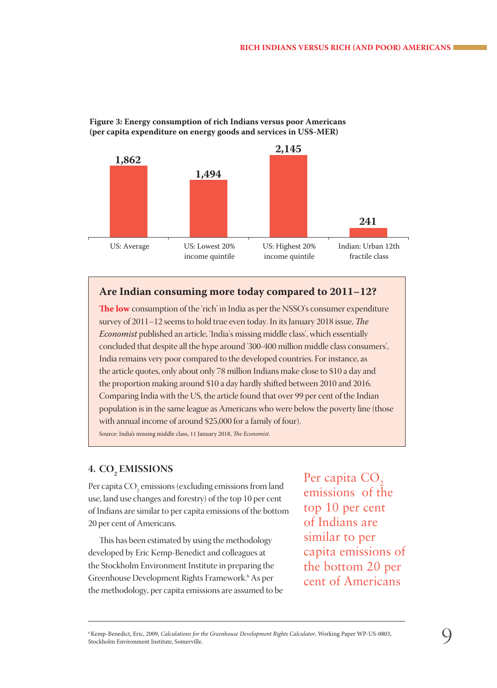

#### **Figure 3: Energy consumption of rich Indians versus poor Americans (per capita expenditure on energy goods and services in US\$-MER)**

#### **Are Indian consuming more today compared to 2011–12?**

**The low** consumption of the 'rich' in India as per the NSSO's consumer expenditure survey of 2011–12 seems to hold true even today. In its January 2018 issue, *The Economist* published an article, 'India's missing middle class', which essentially concluded that despite all the hype around '300-400 million middle class consumers', India remains very poor compared to the developed countries. For instance, as the article quotes, only about only 78 million Indians make close to \$10 a day and the proportion making around \$10 a day hardly shifted between 2010 and 2016. Comparing India with the US, the article found that over 99 per cent of the Indian population is in the same league as Americans who were below the poverty line (those with annual income of around \$25,000 for a family of four).

Source: India's missing middle class, 11 January 2018, *The Economist.*

# **4. CO<sub>2</sub> EMISSIONS**

Per capita  $\mathrm{CO}_2$  emissions (excluding emissions from land use, land use changes and forestry) of the top 10 per cent of Indians are similar to per capita emissions of the bottom 20 per cent of Americans.

This has been estimated by using the methodology developed by Eric Kemp-Benedict and colleagues at the Stockholm Environment Institute in preparing the Greenhouse Development Rights Framework.6 As per the methodology, per capita emissions are assumed to be Per capita CO<sub>2</sub> emissions of the top 10 per cent of Indians are similar to per capita emissions of the bottom 20 per cent of Americans

<sup>6</sup> Kemp-Benedict, Eric, 2009, *Calculations for the Greenhouse Development Rights Calculator*, Working Paper WP-US-0803, Stockholm Environment Institute, Somerville.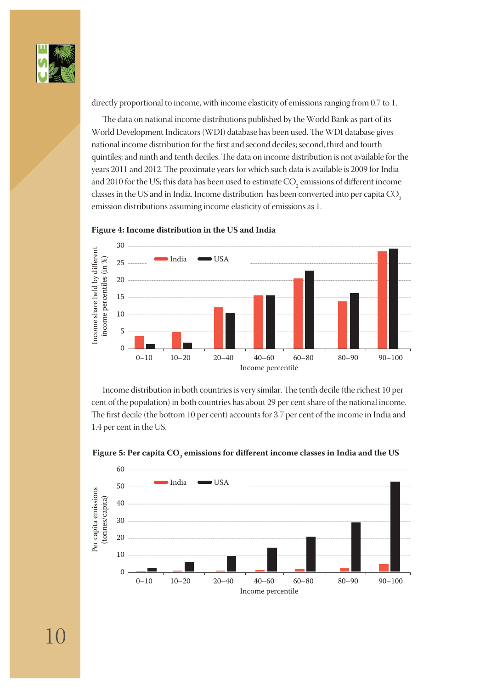

directly proportional to income, with income elasticity of emissions ranging from 0.7 to 1.

The data on national income distributions published by the World Bank as part of its World Development Indicators (WDI) database has been used. The WDI database gives national income distribution for the first and second deciles; second, third and fourth quintiles; and ninth and tenth deciles. The data on income distribution is not available for the years 2011 and 2012. The proximate years for which such data is available is 2009 for India and 2010 for the US; this data has been used to estimate  $\mathrm{CO}_2$  emissions of different income classes in the US and in India. Income distribution has been converted into per capita  $CO<sub>2</sub>$ emission distributions assuming income elasticity of emissions as 1.



**Figure 4: Income distribution in the US and India**

Income distribution in both countries is very similar. The tenth decile (the richest 10 per cent of the population) in both countries has about 29 per cent share of the national income. The first decile (the bottom 10 per cent) accounts for 3.7 per cent of the income in India and 1.4 per cent in the US.



Figure 5: Per capita CO<sub>2</sub> emissions for different income classes in India and the US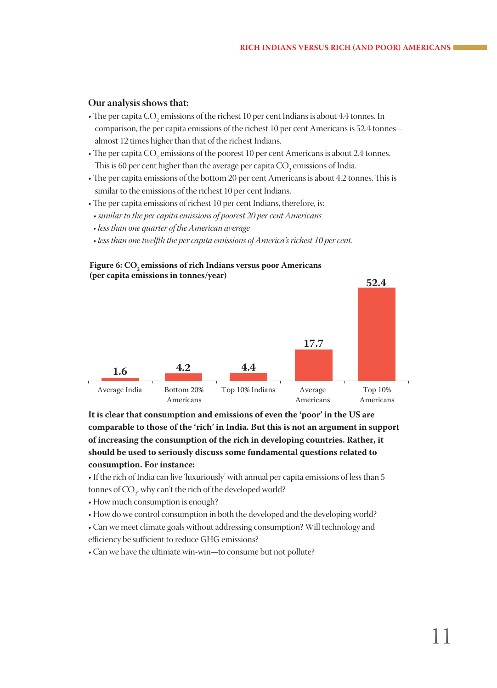#### **Our analysis shows that:**

- $\bullet$  The per capita CO<sub>2</sub> emissions of the richest 10 per cent Indians is about 4.4 tonnes. In comparison, the per capita emissions of the richest 10 per cent Americans is 52.4 tonnes almost 12 times higher than that of the richest Indians.
- $\boldsymbol{\cdot}$  The per capita CO<sub>2</sub> emissions of the poorest 10 per cent Americans is about 2.4 tonnes. This is 60 per cent higher than the average per capita  $\mathrm{CO}_2$  emissions of India.
- The per capita emissions of the bottom 20 per cent Americans is about 4.2 tonnes. This is similar to the emissions of the richest 10 per cent Indians.
- The per capita emissions of richest 10 per cent Indians, therefore, is:
- *similar to the per capita emissions of poorest 20 per cent Americans*
- *less than one quarter of the American average*
- *less than one twelfth the per capita emissions of America's richest 10 per cent.*

#### Figure 6: CO<sub>2</sub> emissions of rich Indians versus poor Americans **(per capita emissions in tonnes/year)**



**It is clear that consumption and emissions of even the 'poor' in the US are comparable to those of the 'rich' in India. But this is not an argument in support of increasing the consumption of the rich in developing countries. Rather, it should be used to seriously discuss some fundamental questions related to consumption. For instance:**

- If the rich of India can live 'luxuriously' with annual per capita emissions of less than 5 tonnes of CO<sub>2</sub>, why can't the rich of the developed world?
- How much consumption is enough?
- How do we control consumption in both the developed and the developing world?
- Can we meet climate goals without addressing consumption? Will technology and efficiency be sufficient to reduce GHG emissions?
- Can we have the ultimate win-win—to consume but not pollute?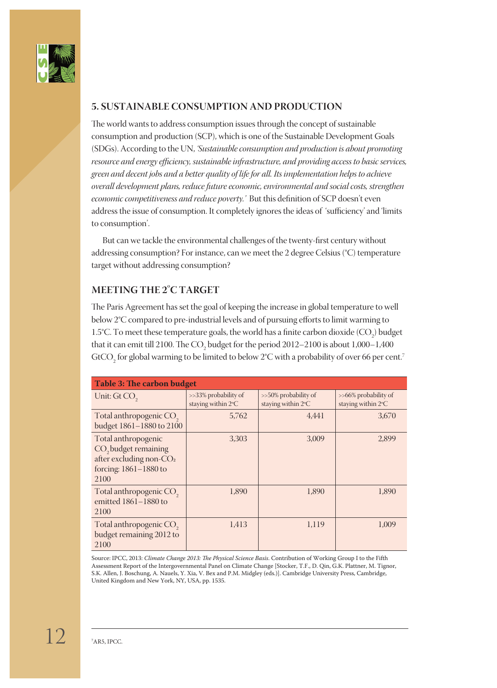

#### **5. SUSTAINABLE CONSUMPTION AND PRODUCTION**

The world wants to address consumption issues through the concept of sustainable consumption and production (SCP), which is one of the Sustainable Development Goals (SDGs). According to the UN, *'Sustainable consumption and production is about promoting resource and energy efficiency, sustainable infrastructure, and providing access to basic services, green and decent jobs and a better quality of life for all. Its implementation helps to achieve overall development plans, reduce future economic, environmental and social costs, strengthen economic competitiveness and reduce poverty.'* But this definition of SCP doesn't even address the issue of consumption. It completely ignores the ideas of 'sufficiency' and 'limits to consumption'.

But can we tackle the environmental challenges of the twenty-first century without addressing consumption? For instance, can we meet the 2 degree Celsius (°C) temperature target without addressing consumption?

#### **MEETING THE 2**º**C TARGET**

The Paris Agreement has set the goal of keeping the increase in global temperature to well below 2°C compared to pre-industrial levels and of pursuing efforts to limit warming to 1.5°C. To meet these temperature goals, the world has a finite carbon dioxide  $({\rm CO}_{2})$  budget that it can emit till 2100. The  $\mathrm{CO}_2$  budget for the period 2012–2100 is about 1,000–1,400 GtCO<sub>2</sub> for global warming to be limited to below 2°C with a probability of over 66 per cent.<sup>7</sup>

| <b>Table 3: The carbon budget</b>                                                                                      |                                            |                                            |                                               |  |  |
|------------------------------------------------------------------------------------------------------------------------|--------------------------------------------|--------------------------------------------|-----------------------------------------------|--|--|
| Unit: $GtCO$ ,                                                                                                         | >>33% probability of<br>staying within 2°C | >>50% probability of<br>staying within 2°C | $> 66\%$ probability of<br>staying within 2°C |  |  |
| Total anthropogenic CO <sub>2</sub><br>budget 1861-1880 to 2100                                                        | 5,762                                      | 4.441                                      | 3,670                                         |  |  |
| Total anthropogenic<br>CO <sub>2</sub> budget remaining<br>after excluding non- $CO2$<br>forcing: 1861-1880 to<br>2100 | 3.303                                      | 3,009                                      | 2,899                                         |  |  |
| Total anthropogenic CO <sub>2</sub><br>emitted 1861-1880 to<br>2100                                                    | 1,890                                      | 1,890                                      | 1,890                                         |  |  |
| Total anthropogenic CO <sub>2</sub><br>budget remaining 2012 to<br>2100                                                | 1,413                                      | 1,119                                      | 1,009                                         |  |  |

Source: IPCC, 2013: *Climate Change 2013: The Physical Science Basis*. Contribution of Working Group I to the Fifth Assessment Report of the Intergovernmental Panel on Climate Change [Stocker, T.F., D. Qin, G.K. Plattner, M. Tignor, S.K. Allen, J. Boschung, A. Nauels, Y. Xia, V. Bex and P.M. Midgley (eds.)]. Cambridge University Press, Cambridge, United Kingdom and New York, NY, USA, pp. 1535.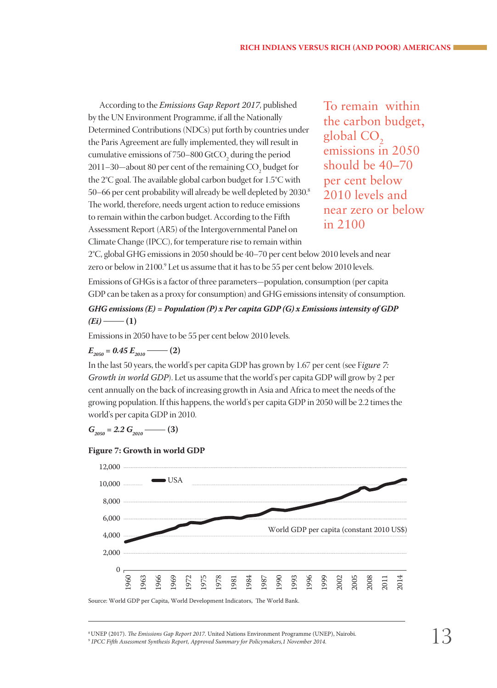According to the *Emissions Gap Report 2017*, published by the UN Environment Programme, if all the Nationally Determined Contributions (NDCs) put forth by countries under the Paris Agreement are fully implemented, they will result in cumulative emissions of 750–800 GtCO<sub>2</sub> during the period 2011–30—about 80 per cent of the remaining  $\mathrm{CO}_2$  budget for the 2°C goal. The available global carbon budget for 1.5°C with 50–66 per cent probability will already be well depleted by 2030.8 i. The world, therefore, needs urgent action to reduce emissions to remain within the carbon budget. According to the Fifth Assessment Report (AR5) of the Intergovernmental Panel on Climate Change (IPCC), for temperature rise to remain within

To remain within the carbon budget,  $global CO<sub>2</sub>$ emissions in 2050 should be 40–70 per cent below 2010 levels and near zero or below in 2100

2°C, global GHG emissions in 2050 should be 40–70 per cent below 2010 levels and near zero or below in 2100.<sup>9</sup> Let us assume that it has to be 55 per cent below 2010 levels.

Emissions of GHGs is a factor of three parameters—population, consumption (per capita GDP can be taken as a proxy for consumption) and GHG emissions intensity of consumption.

*GHG emissions (E) = Population (P) x Per capita GDP (G) x Emissions intensity of GDP*   $(Ei)$  —  $(1)$ 

Emissions in 2050 have to be 55 per cent below 2010 levels.

$$
E_{2050} = 0.45 E_{2010} \quad (2)
$$

In the last 50 years, the world's per capita GDP has grown by 1.67 per cent (see F*igure 7: Growth in world GDP*). Let us assume that the world's per capita GDP will grow by 2 per cent annually on the back of increasing growth in Asia and Africa to meet the needs of the growing population. If this happens, the world's per capita GDP in 2050 will be 2.2 times the world's per capita GDP in 2010.

 $G_{2050} = 2.2 G_{2010}$  (3)





Source: World GDP per Capita, World Development Indicators, The World Bank.

<sup>8</sup> UNEP (2017). *The Emissions Gap Report 2017*. United Nations Environment Programme (UNEP), Nairobi.

<sup>9</sup>  *IPCC Fifth Assessment Synthesis Report, Approved Summary for Policymakers,1 November 2014.*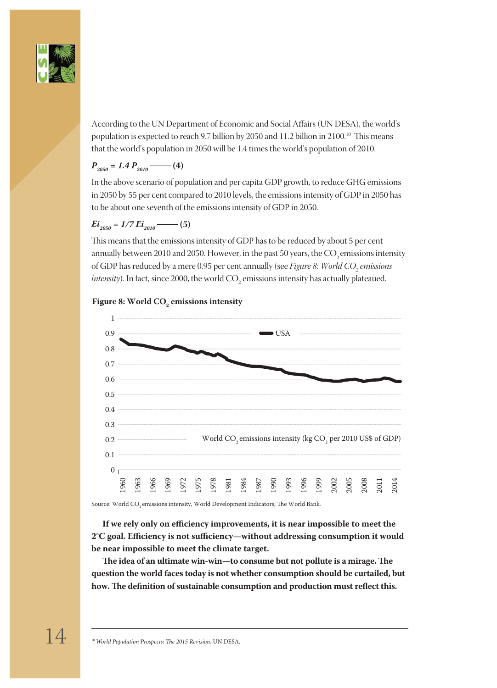

According to the UN Department of Economic and Social Affairs (UN DESA), the world's population is expected to reach 9.7 billion by 2050 and 11.2 billion in 2100.<sup>10</sup> This means that the world's population in 2050 will be 1.4 times the world's population of 2010.

## $P_{2050} = 1.4 P_{2010}$  (4)

In the above scenario of population and per capita GDP growth, to reduce GHG emissions in 2050 by 55 per cent compared to 2010 levels, the emissions intensity of GDP in 2050 has to be about one seventh of the emissions intensity of GDP in 2050.

### $Ei_{2050} = 1/7 Ei_{2010}$  (5)

This means that the emissions intensity of GDP has to be reduced by about 5 per cent annually between 2010 and 2050. However, in the past 50 years, the CO<sub>2</sub> emissions intensity of GDP has reduced by a mere 0.95 per cent annually (see *Figure 8: World CO<sub>2</sub> emissions intensity*). In fact, since 2000, the world  $\mathrm{CO}_2$  emissions intensity has actually plateaued.

# **Figure 8: World CO2 emissions intensity**



Source: World CO<sub>2</sub> emissions intensity, World Development Indicators, The World Bank.

**If we rely only on efficiency improvements, it is near impossible to meet the 2°C goal. Efficiency is not sufficiency—without addressing consumption it would be near impossible to meet the climate target.**

**The idea of an ultimate win-win—to consume but not pollute is a mirage. The question the world faces today is not whether consumption should be curtailed, but how. The definition of sustainable consumption and production must reflect this.**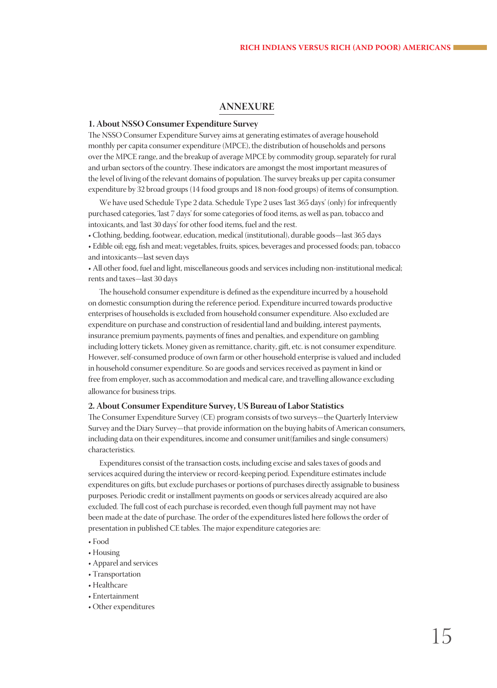#### **ANNEXURE**

#### **1. About NSSO Consumer Expenditure Survey**

The NSSO Consumer Expenditure Survey aims at generating estimates of average household monthly per capita consumer expenditure (MPCE), the distribution of households and persons over the MPCE range, and the breakup of average MPCE by commodity group, separately for rural and urban sectors of the country. These indicators are amongst the most important measures of the level of living of the relevant domains of population. The survey breaks up per capita consumer expenditure by 32 broad groups (14 food groups and 18 non-food groups) of items of consumption.

We have used Schedule Type 2 data. Schedule Type 2 uses 'last 365 days' (only) for infrequently purchased categories, 'last 7 days' for some categories of food items, as well as pan, tobacco and intoxicants, and 'last 30 days' for other food items, fuel and the rest.

• Clothing, bedding, footwear, education, medical (institutional), durable goods—last 365 days

• Edible oil; egg, fish and meat; vegetables, fruits, spices, beverages and processed foods; pan, tobacco and intoxicants—last seven days

• All other food, fuel and light, miscellaneous goods and services including non-institutional medical; rents and taxes—last 30 days

The household consumer expenditure is defined as the expenditure incurred by a household on domestic consumption during the reference period. Expenditure incurred towards productive enterprises of households is excluded from household consumer expenditure. Also excluded are expenditure on purchase and construction of residential land and building, interest payments, insurance premium payments, payments of fines and penalties, and expenditure on gambling including lottery tickets. Money given as remittance, charity, gift, etc. is not consumer expenditure. However, self-consumed produce of own farm or other household enterprise is valued and included in household consumer expenditure. So are goods and services received as payment in kind or free from employer, such as accommodation and medical care, and travelling allowance excluding allowance for business trips.

#### **2. About Consumer Expenditure Survey, US Bureau of Labor Statistics**

The Consumer Expenditure Survey (CE) program consists of two surveys—the Quarterly Interview Survey and the Diary Survey—that provide information on the buying habits of American consumers, including data on their expenditures, income and consumer unit(families and single consumers) characteristics.

Expenditures consist of the transaction costs, including excise and sales taxes of goods and services acquired during the interview or record-keeping period. Expenditure estimates include expenditures on gifts, but exclude purchases or portions of purchases directly assignable to business purposes. Periodic credit or installment payments on goods or services already acquired are also excluded. The full cost of each purchase is recorded, even though full payment may not have been made at the date of purchase. The order of the expenditures listed here follows the order of presentation in published CE tables. The major expenditure categories are:

- Food
- Housing
- Apparel and services
- Transportation
- Healthcare
- Entertainment
- Other expenditures